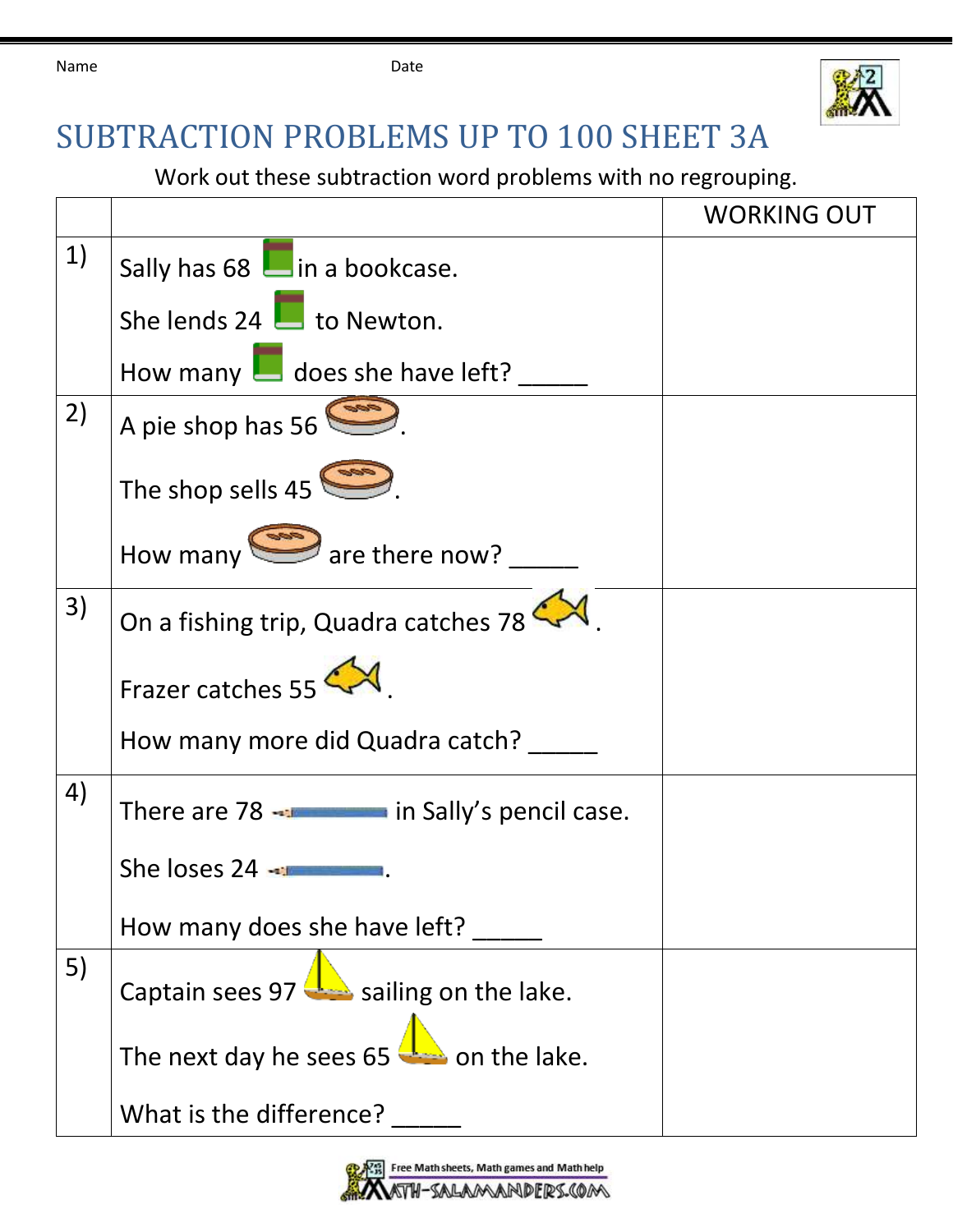

## SUBTRACTION PROBLEMS UP TO 100 SHEET 3A

Work out these subtraction word problems with no regrouping.

|    |                                                      | <b>WORKING OUT</b> |
|----|------------------------------------------------------|--------------------|
| 1) | Sally has 68 lain a bookcase.                        |                    |
|    | She lends 24 $\Box$ to Newton.                       |                    |
|    | How many $\Box$ does she have left?                  |                    |
| 2) | A pie shop has 56                                    |                    |
|    | The shop sells $45$                                  |                    |
|    | How many $\sum$ are there now?                       |                    |
| 3) | On a fishing trip, Quadra catches 78                 |                    |
|    | Frazer catches 55                                    |                    |
|    | How many more did Quadra catch?                      |                    |
| 4) | There are 78 - There in Sally's pencil case.         |                    |
|    | She loses 24                                         |                    |
|    | How many does she have left?                         |                    |
| 5) | Captain sees 97 $\frac{1}{2}$ sailing on the lake.   |                    |
|    | The next day he sees $65$ $\rightarrow$ on the lake. |                    |
|    | What is the difference?                              |                    |